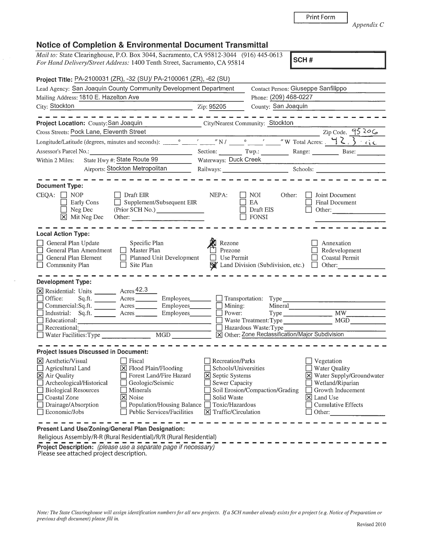| otice of Completion & Environmental Document Transmittal |  |  |
|----------------------------------------------------------|--|--|

**Notice of Completion & Environmental Document Transmittal**<br>*Mail to: State Clearinghouse, P.O. Box 3044, Sacramento, CA 95812-3044* (916) 445-0613

|                                                                                                                                                                                           | Project Title: PA-2100031 (ZR), -32 (SU)/ PA-2100061 (ZR), -62 (SU)                                                                                                                                                |                                                                                                                                     |                                                                                                                                                     |                                                                                                                                                                 |
|-------------------------------------------------------------------------------------------------------------------------------------------------------------------------------------------|--------------------------------------------------------------------------------------------------------------------------------------------------------------------------------------------------------------------|-------------------------------------------------------------------------------------------------------------------------------------|-----------------------------------------------------------------------------------------------------------------------------------------------------|-----------------------------------------------------------------------------------------------------------------------------------------------------------------|
| Lead Agency: San Joaquin County Community Development Department                                                                                                                          |                                                                                                                                                                                                                    | Contact Person: Giuseppe Sanfilippo                                                                                                 |                                                                                                                                                     |                                                                                                                                                                 |
| Mailing Address: 1810 E. Hazelton Ave                                                                                                                                                     |                                                                                                                                                                                                                    |                                                                                                                                     | Phone: (209) 468-0227                                                                                                                               |                                                                                                                                                                 |
| City: Stockton                                                                                                                                                                            |                                                                                                                                                                                                                    | Zip: 95205                                                                                                                          | County: San Joaquin                                                                                                                                 |                                                                                                                                                                 |
| Project Location: County: San Joaquin                                                                                                                                                     |                                                                                                                                                                                                                    |                                                                                                                                     | City/Nearest Community: Stockton                                                                                                                    |                                                                                                                                                                 |
| Cross Streets: Pock Lane, Eleventh Street                                                                                                                                                 |                                                                                                                                                                                                                    |                                                                                                                                     |                                                                                                                                                     | Zip Code. $9520$                                                                                                                                                |
|                                                                                                                                                                                           |                                                                                                                                                                                                                    |                                                                                                                                     |                                                                                                                                                     |                                                                                                                                                                 |
|                                                                                                                                                                                           |                                                                                                                                                                                                                    |                                                                                                                                     |                                                                                                                                                     |                                                                                                                                                                 |
| Assessor's Parcel No.:                                                                                                                                                                    | $\overline{\phantom{a}}$ . The set of $\overline{\phantom{a}}$                                                                                                                                                     |                                                                                                                                     |                                                                                                                                                     | Section: Twp.: Range: Base:                                                                                                                                     |
| State Hwy #: State Route 99<br>Within 2 Miles:                                                                                                                                            |                                                                                                                                                                                                                    | Waterways: Duck Creek                                                                                                               |                                                                                                                                                     |                                                                                                                                                                 |
|                                                                                                                                                                                           | Airports: Stockton Metropolitan                                                                                                                                                                                    |                                                                                                                                     |                                                                                                                                                     | Railways: Schools: Schools: 2000 Schools: 2000 Schools: 2000 Schools: 2000 Schools: 2000 Schools: 2000 Schools                                                  |
| <b>Document Type:</b>                                                                                                                                                                     |                                                                                                                                                                                                                    |                                                                                                                                     |                                                                                                                                                     |                                                                                                                                                                 |
| $CEQA: \Box NOP$<br>Early Cons<br>$\Box$ Neg Dec<br>$\boxed{\mathsf{X}}$ Mit Neg Dec                                                                                                      | $\Box$ Draft EIR<br>Supplement/Subsequent EIR<br>$\Box$<br>Other: $\qquad \qquad$                                                                                                                                  | NEPA:                                                                                                                               | NOI  <br>Other:<br>EA.<br>Draft EIS<br><b>FONSI</b>                                                                                                 | <b>Joint Document</b><br>Final Document<br>Other:                                                                                                               |
| <b>Local Action Type:</b>                                                                                                                                                                 |                                                                                                                                                                                                                    |                                                                                                                                     |                                                                                                                                                     |                                                                                                                                                                 |
| General Plan Update<br>General Plan Amendment<br>General Plan Element<br>$\Box$ Community Plan                                                                                            | Specific Plan<br>Master Plan<br>Planned Unit Development<br>Site Plan                                                                                                                                              | Rezone<br>Prezone<br>Use Permit                                                                                                     | $\mathbb{N}'$ Land Division (Subdivision, etc.) $\Box$ Other:                                                                                       | Annexation<br>Redevelopment<br>Coastal Permit                                                                                                                   |
| Development Type:                                                                                                                                                                         |                                                                                                                                                                                                                    |                                                                                                                                     |                                                                                                                                                     |                                                                                                                                                                 |
| X Residential: Units _________ Acres 42.3<br>$\Box$ Office:<br>Industrial: Sq.ft. Acres<br>Educational:<br>Recreational:<br>$\Box$ Water Facilities: Type $\Box$                          | Employees_<br>Commercial:Sq.ft. ________ Acres _________ Employees _______<br>Employees_______<br>MGD <sup>1</sup>                                                                                                 | $\Box$ Mining:<br>$\Box$ Power:                                                                                                     | $\Box$ Transportation: Type<br>Mineral<br>Waste Treatment: Type<br>$\Box$ Hazardous Waste: Type<br>X Other: Zone Reclassification/Major Subdivision | $\overline{MW}$<br>MGD                                                                                                                                          |
| <b>Project Issues Discussed in Document:</b>                                                                                                                                              |                                                                                                                                                                                                                    |                                                                                                                                     |                                                                                                                                                     |                                                                                                                                                                 |
| X Aesthetic/Visual<br>Agricultural Land<br>X Air Quality<br>Archeological/Historical<br>$\Box$ Biological Resources<br>Coastal Zone<br>$\Box$ Drainage/Absorption<br>$\Box$ Economic/Jobs | □ Fiscal<br>$\boxed{\mathbf{X}}$ Flood Plain/Flooding<br>Forest Land/Fire Hazard<br>Geologic/Seismic<br>    Minerals<br>X Noise<br>Population/Housing Balance $\Box$ Toxic/Hazardous<br>Public Services/Facilities | Recreation/Parks<br>Schools/Universities<br>⊠ Septic Systems<br>Sewer Capacity<br>Solid Waste<br>$ \mathsf{X} $ Traffic/Circulation | Soil Erosion/Compaction/Grading                                                                                                                     | Vegetation<br>Water Quality<br>X Water Supply/Groundwater<br>Wetland/Riparian<br>  Growth Inducement<br>$ \mathsf{X} $ Land Use<br>Cumulative Effects<br>Other: |

Religious Assembly/R-R (Rural Residential)/R/R (Rural Residential) **Project Description:** (please use a separate page if necessary)  $\overline{\phantom{a}}$   $\overline{\phantom{a}}$   $\overline{\phantom{a}}$   $\overline{\phantom{a}}$   $\overline{\phantom{a}}$   $\overline{\phantom{a}}$   $\overline{\phantom{a}}$   $\overline{\phantom{a}}$   $\overline{\phantom{a}}$   $\overline{\phantom{a}}$   $\overline{\phantom{a}}$   $\overline{\phantom{a}}$   $\overline{\phantom{a}}$  Please see attached project description.

*previous draft document) please fill in.* 

For Hand Delivery/Street Address: 1400 Tenth Street, Sacramento, CA 95814 **SCH #** 

*Appendix* C

| $\sim$<br>и<br>г.<br>.<br>٠ |  |
|-----------------------------|--|

Print Form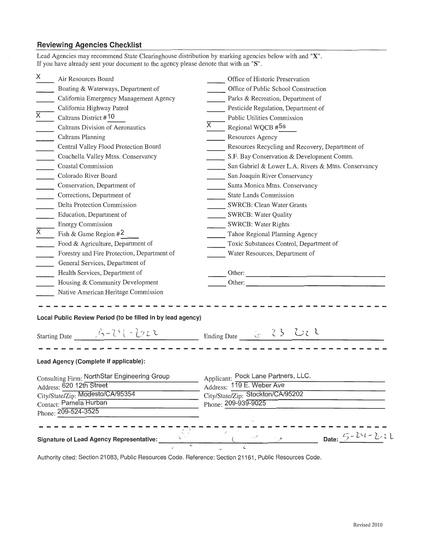## **Reviewing Agencies Checklist**

| Lead Agencies may recommend State Clearinghouse distribution by marking agencies below with and "X".<br>If you have already sent your document to the agency please denote that with an "S". |                                                     |  |  |
|----------------------------------------------------------------------------------------------------------------------------------------------------------------------------------------------|-----------------------------------------------------|--|--|
| X<br>Air Resources Board                                                                                                                                                                     | Office of Historic Preservation                     |  |  |
| Boating & Waterways, Department of                                                                                                                                                           | Office of Public School Construction                |  |  |
| California Emergency Management Agency                                                                                                                                                       | Parks & Recreation, Department of                   |  |  |
| California Highway Patrol                                                                                                                                                                    | Pesticide Regulation, Department of                 |  |  |
| $\overline{\mathsf{x}}$<br>Caltrans District #10                                                                                                                                             | Public Utilities Commission                         |  |  |
| Caltrans Division of Aeronautics                                                                                                                                                             | X.<br>Regional WQCB #5s                             |  |  |
| Caltrans Planning                                                                                                                                                                            | Resources Agency                                    |  |  |
| Central Valley Flood Protection Board                                                                                                                                                        | Resources Recycling and Recovery, Department of     |  |  |
| Coachella Valley Mtns. Conservancy<br>$\mathcal{L}$                                                                                                                                          | S.F. Bay Conservation & Development Comm.           |  |  |
| Coastal Commission                                                                                                                                                                           | San Gabriel & Lower L.A. Rivers & Mtns. Conservancy |  |  |
| Colorado River Board                                                                                                                                                                         | San Joaquin River Conservancy                       |  |  |
| Conservation, Department of<br>$\sim$ $-$                                                                                                                                                    | Santa Monica Mtns. Conservancy                      |  |  |
| Corrections, Department of<br>$\mathbb{R}^2$                                                                                                                                                 | <b>State Lands Commission</b>                       |  |  |
| Delta Protection Commission                                                                                                                                                                  | SWRCB: Clean Water Grants                           |  |  |
| Education, Department of                                                                                                                                                                     | <b>SWRCB: Water Quality</b>                         |  |  |
| <b>Energy Commission</b>                                                                                                                                                                     | <b>SWRCB: Water Rights</b>                          |  |  |
| $\overline{X}$<br>Fish & Game Region $#2$                                                                                                                                                    | Tahoe Regional Planning Agency                      |  |  |
| Food & Agriculture, Department of                                                                                                                                                            | Toxic Substances Control, Department of             |  |  |
| Forestry and Fire Protection, Department of                                                                                                                                                  | Water Resources, Department of                      |  |  |
| General Services, Department of                                                                                                                                                              |                                                     |  |  |
| Health Services, Department of                                                                                                                                                               |                                                     |  |  |
| Housing & Community Development                                                                                                                                                              | Other:                                              |  |  |
| Native American Heritage Commission                                                                                                                                                          |                                                     |  |  |
| Local Public Review Period (to be filled in by lead agency)<br>Starting Date $\frac{1}{2} - 2(-1)(-1) + 2$                                                                                   | Ending Date & 23 UL                                 |  |  |
| Lead Agency (Complete if applicable):                                                                                                                                                        |                                                     |  |  |
| Consulting Firm: NorthStar Engineering Group                                                                                                                                                 | Applicant: Pock Lane Partners, LLC.                 |  |  |
| Address: 620 12th Street                                                                                                                                                                     | Address: 119 E. Weber Ave                           |  |  |
| City/State/Zip: Modesto/CA/95354                                                                                                                                                             | City/State/Zip: Stockton/CA/95202                   |  |  |
| Contact: Pamela Hurban                                                                                                                                                                       | Phone: 209-939-9025                                 |  |  |
| Phone: 209-524-3525                                                                                                                                                                          |                                                     |  |  |
| Signature of Lead Agency Representative:                                                                                                                                                     | Date: $5 - 24 - 221$                                |  |  |

Authority cited: Section 21083, Public Resources Code. Reference: Section 21161, Public Resources Code.